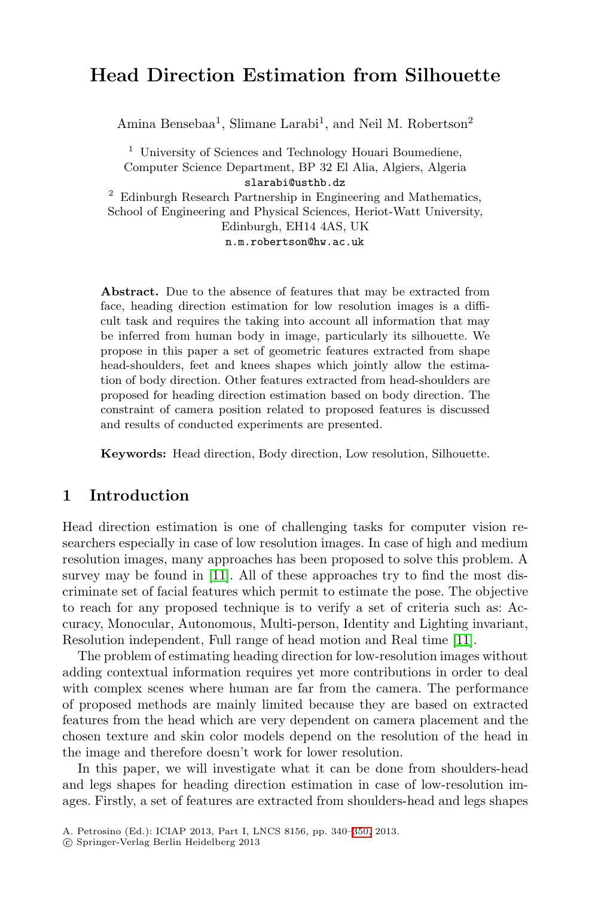# **Head Direction Estimation from Silhouette**

Amina Bensebaa<sup>1</sup>, Slimane Larabi<sup>1</sup>, and Neil M. Robertson<sup>2</sup>

<sup>1</sup> University of Sciences and Technology Houari Boumediene. Computer Science Department, BP 32 El Alia, Algiers, Algeria slarabi@usthb.dz

 $^{\rm 2}$  Edinburgh Research Partnership in Engineering and Mathematics, School of Engineering and Physical Sciences, Heriot-Watt University, Edinburgh, EH14 4AS, UK n.m.robertson@hw.ac.uk

**Abstract.** Due to the absence of features that may be extracted from face, heading direction estimation for low resolution images is a difficult task and requires the taking into account all information that may be inferred from human body in image, particularly its silhouette. We propose in this paper a set of geometric features extracted from shape head-shoulders, feet and knees shapes which jointly allow the estimation of body direction. Other features extracted from head-shoulders are proposed for heading direction estimation based on body direction. The constraint of camera position related to proposed features is discussed and results of conducted experiments are presented.

**[Key](#page-10-0)words:** Head direction, Body direction, Low resolution, Silhouette.

### **1 Introduction**

Head direction estimation is one of challenging [tas](#page-10-0)ks for computer vision researchers especially in case of low resolution images. In case of high and medium resolution images, many approaches has been proposed to solve this problem. A survey may be found in [11]. All of these approaches try to find the most discriminate set of facial features which permit to estimate the pose. The objective to reach for any proposed technique is to verify a set of criteria such as: Accuracy, Monocular, Autonomous, Multi-person, Identity and Lighting invariant, Resolution independent, Full range of head motion and Real time [11].

The problem of estimating heading direction for low-resolution images without adding contextual information requires yet more contributions in order to deal with complex scenes where human are far from the camera. The performance of proposed methods are main[ly li](#page-10-1)mited because they are based on extracted features from the head which are very dependent on camera placement and the chosen texture and skin color models depend on the resolution of the head in the image and therefore doesn't work for lower resolution.

In this paper, we will investigate what it can be done from shoulders-head and legs shapes for heading direction estimation in case of low-resolution images. Firstly, a set of features are extracted from shoulders-head and legs shapes

A. Petrosino (Ed.): ICIAP 2013, Part I, LNCS 8156, pp. 340–350, 2013.

<sup>-</sup>c Springer-Verlag Berlin Heidelberg 2013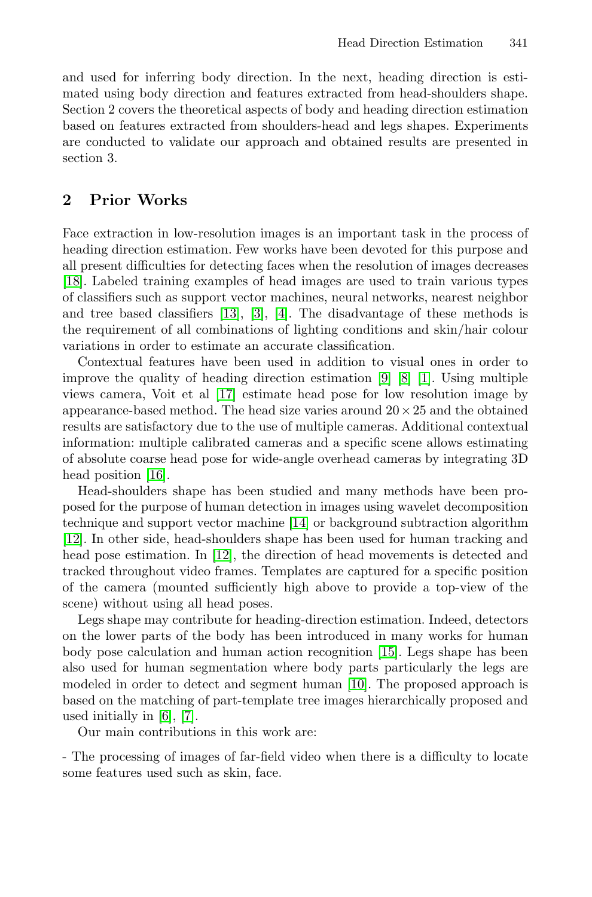and used for inferring body direction. In the next, heading direction is estimated using body direction and features extracted from head-shoulders shape. Section 2 covers the theoretical aspects of body and heading direction estimation based on features extracted from shoulders-head and legs shapes. Experiments are conducted to validate our approach and obtained results are presented in section 3.

## **2 Pri[or](#page-10-2) [Wo](#page-9-0)r[ks](#page-9-1)**

Face extraction in low-resolution images is an important task in the process of heading direction estimation. Few w[or](#page-10-3)k[s h](#page-10-4)a[ve](#page-9-2) been devoted for this purpose and all prese[nt d](#page-10-5)ifficulties for detecting faces when the resolution of images decreases [18]. Labeled training examples of head images are used to train various types of classifiers such as support vector machines, neural networks, nearest neighbor and tree based classifiers [13], [3], [4]. The disadvantage of these methods is the requirement of all combinations of lighting conditions and skin/hair colour variations in order to estimate an accurate classification.

Contextual features have been used in addition to visual ones in order to improve the quality of heading direction estimation [9] [8] [1]. Using multiple views camera, Voit [et a](#page-10-6)l [17] estimate head pose for low resolution image by appearance-based method. The head size varies around 20*×*25 and the obtained results [are](#page-10-7) satisfactory due to the use of multiple cameras. Additional contextual information: multiple calibrated cameras and a specific scene allows estimating of absolute coarse head pose for wide-angle overhead cameras by integrating 3D head position [16].

Head-shoulders shape has been studied and many methods have been proposed for the purpose of human detection in images using wavelet decomposition technique and support vector machi[ne \[](#page-10-8)14] or background subtraction algorithm [12]. In other side, head-shoulders shape has been used for human tracking and head pose estimation. In [12], [the](#page-10-9) direction of head movements is detected and tracked throughout video frames. Templates are captured for a specific position [o](#page-10-10)f [th](#page-10-11)e camera (mounted sufficiently high above to provide a top-view of the scene) without using all head poses.

Legs shape may contribute for heading-direction estimation. Indeed, detectors on the lower parts of the body has been introduced in many works for human body pose calculation and human action recognition [15]. Legs shape has been also used for human segmentation where body parts particularly the legs are modeled in order to detect and segment human [10]. The proposed approach is based on the matching of part-template tree images hierarchically proposed and used initially in [6], [7].

Our main contributions in this work are:

- The processing of images of far-field video when there is a difficulty to locate some features used such as skin, face.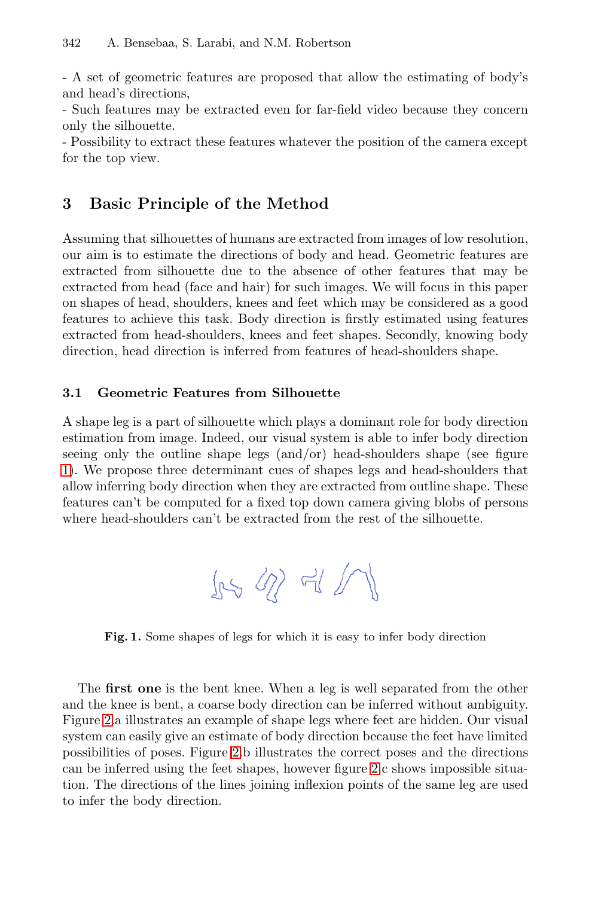- A set of geometric features are proposed that allow the estimating of body's and head's directions,

- Such features may be extracted even for far-field video because they concern only the silhouette.

- Possibility to extract these features whatever the position of the camera except for the top view.

### **3 Basic Principle of the Method**

Assuming that silhouettes of humans are extracted from images of low resolution, our aim is to estimate the directions of body and head. Geometric features are extracted from silhouette due to the absence of other features that may be extracted from head (face and hair) for such images. We will focus in this paper on shapes of head, shoulders, knees and feet which may be considered as a good features to achieve this task. Body direction is firstly estimated using features extracted from head-shoulders, knees and feet shapes. Secondly, knowing body direction, head direction is inferred from features of head-shoulders shape.

### **3.1 Geometric Features from Silhouette**

A shape leg is a part of silhouette which plays a dominant role for body direction estimation from image. Indeed, our visual system is able to infer body direction seeing only the outline shape legs (and/or) head-shoulders shape (see figure 1). We propose three determinant cues of shapes legs and head-shoulders that allow inferring body direction when they are extracted from outline shape. These features can't be computed for a fixed top down camera giving blobs of persons where head-shoulders can't be extracted from the rest of the silhouette.



**Fig[.](#page-3-0) [1](#page-3-0).** Some shapes of legs f[or](#page-3-0) which it is easy to infer body direction

The **first one** is the bent knee. When a leg is well separated from the other and the knee is bent, a coarse body direction can be inferred without ambiguity. Figure 2.a illustrates an example of shape legs where feet are hidden. Our visual system can easily give an estimate of body direction because the feet have limited possibilities of poses. Figure 2.b illustrates the correct poses and the directions can be inferred using the feet shapes, however figure 2.c shows impossible situation. The directions of the lines joining inflexion points of the same leg are used to infer the body direction.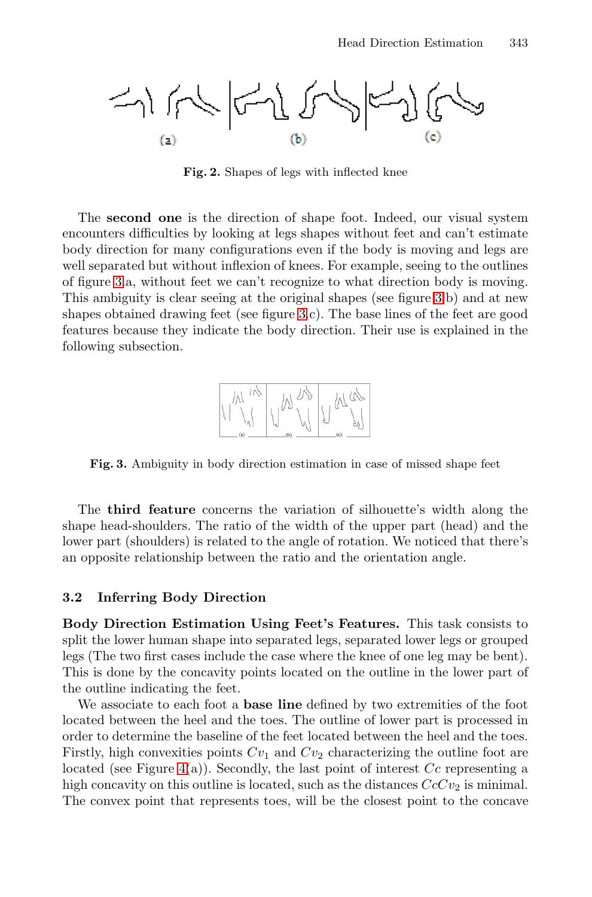<span id="page-3-0"></span>

**Fig. 2.** Shapes of legs wit[h in](#page-3-1)flected knee

<span id="page-3-1"></span>The **second one** is the direction of shape foot. Indeed, our visual system encounters difficulties by looking at legs shapes without feet and can't estimate body direction for many configurations even if the body is moving and legs are well separated but without inflexion of knees. For example, seeing to the outlines of figure 3.a, without feet we can't recognize to what direction body is moving. This ambiguity is clear seeing at the original shapes (see figure 3.b) and at new shapes obtained drawing feet (see figure 3.c). The base lines of the feet are good features because they indicate the body direction. Their use is explained in the following subsection.



**Fig. 3.** Ambiguity in body direction estimation in case of missed shape feet

The **third feature** concerns the variation of silhouette's width along the shape head-shoulders. The ratio of the width of the upper part (head) and the lower part (shoulders) is related to the angle of rotation. We noticed that there's an opposite relationship between the ratio and the orientation angle.

#### **3.2 Inferring Body Direction**

**Body Direction Estimation Using Feet's Features.** This task consists to s[pli](#page-4-0)t the lower human shape into separated legs, separated lower legs or grouped legs (The two first cases include the case where the knee of one leg may be bent). This is done by the concavity points located on the outline in the lower part of the outline indicating the feet.

We associate to each foot a **base line** defined by two extremities of the foot located between the heel and the toes. The outline of lower part is processed in order to determine the baseline of the feet located between the heel and the toes. Firstly, high convexities points  $Cv_1$  and  $Cv_2$  characterizing the outline foot are located (see Figure 4(a)). Secondly, the last point of interest  $Cc$  representing a high concavity on this outline is located, such as the distances  $CcCv_2$  is minimal. The convex point that represents toes, will be the closest point to the concave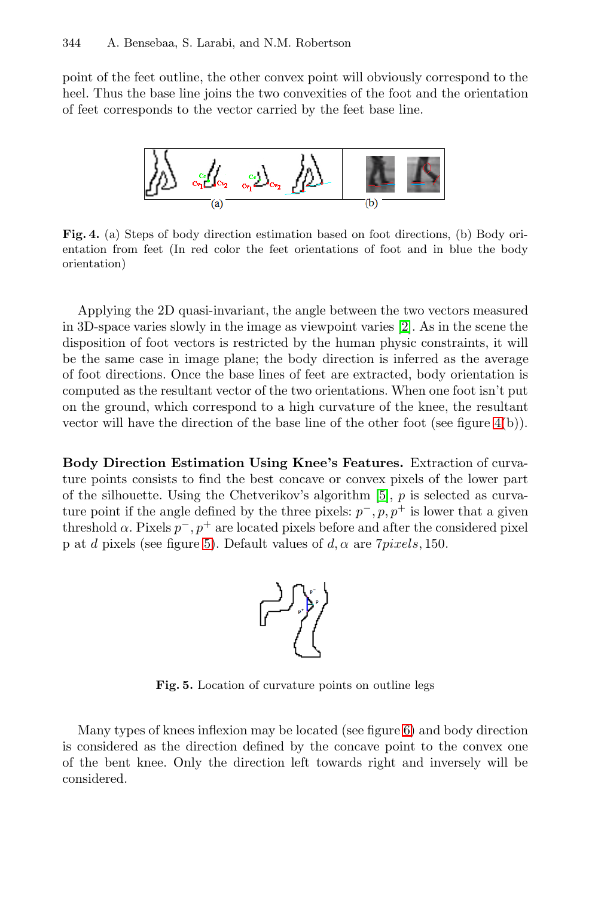#### <span id="page-4-0"></span>344 A. Bensebaa, S. Larabi, and N.M. Robertson

point of the feet outline, the other convex point will obviously correspond to the heel. Thus the base line joins the two convexities of the foot and the orientation of feet corresponds to the vector carried by the feet base line.



**Fig. 4.** (a) Steps of body direction estimation based on foot directions, (b) Body orientation from feet (In red color the feet orientations of foot and in blue the body orientation)

Applying the 2D quasi-invariant, the angle between t[he](#page-4-0) two vectors measured in 3D-space varies slowly in the image as viewpoint varies [2]. As in the scene the disposition of foot vectors is restricted by the human physic constraints, it will be the same case in image plane; the body direction is inferred as the average of foot directions. Once the base li[nes](#page-9-3) of feet are extracted, body orientation is computed as the resultant vector of the two orientations. When one foot isn't put on the ground, which correspond to a high curvature of the knee, the resultant vecto[r w](#page-4-1)ill have the direction of the base line of the other foot (see figure 4(b)).

**Body Direction Estimation Using Knee's Features.** Extraction of curvature points consists to find the best concave or convex pixels of the lower part of the silhouette. Using the Chetverikov's algorithm  $[5]$ ,  $p$  is selected as curvature point if the angle defined by the three pixels:  $p^-, p, p^+$  is lower that a given threshold  $\alpha$ . Pixels  $p^-, p^+$  are located pixels before and after the considered pixel p at d pixels (see figure 5). Default values of  $d, \alpha$  are  $7 pixels, 150$ .

<span id="page-4-1"></span>

**Fig. 5.** Location of curvature points on outline legs

Many types of knees inflexion may be located (see figure 6) and body direction is considered as the direction defined by the concave point to the convex one of the bent knee. Only the direction left towards right and inversely will be considered.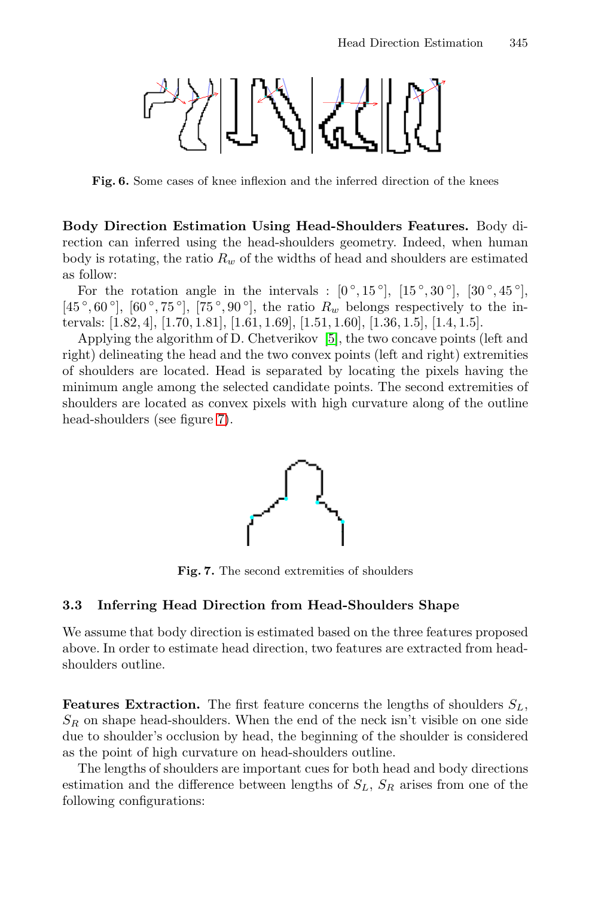

Fig. 6. Some cases of knee inflexion and the inferred direction of the knees

**Body Direction Estima[tio](#page-9-3)n Using Head-Shoulders Features.** Body direction can inferred using the head-shoulders geometry. Indeed, when human body is rotating, the ratio  $R_w$  of the widths of head and shoulders are estimated as follow:

For t[he](#page-5-0) rotation angle in the intervals :  $[0^{\circ}, 15^{\circ}], [15^{\circ}, 30^{\circ}], [30^{\circ}, 45^{\circ}],$ [45 °, 60 °], [60 °, 75 °], [75 °, 90 °], the ratio  $R_w$  belongs respectively to the intervals: [1.82, 4], [1.70, 1.81], [1.61, 1.69], [1.51, 1.60], [1.36, 1.5], [1.4, 1.5].

Applying the algorithm of D. Chetverikov [5], the two concave points (left and right) delineating the head and the two convex points (left and right) extremities of shoulders are located. Head is separated by locating the pixels having the minimum angle among the selected candidate points. The second extremities of shoulders are located as convex pixels with high curvature along of the outline head-shoulders (see figure 7).

<span id="page-5-0"></span>

**Fig. 7.** The second extremities of shoulders

#### **3.3 Inferring Head Direction from Head-Shoulders Shape**

We assume that body direction is estimated based on the three features proposed above. In order to estimate head direction, two features are extracted from headshoulders outline.

**Features Extraction.** The first feature concerns the lengths of shoulders  $S_L$ ,  $S_R$  on shape head-shoulders. When the end of the neck isn't visible on one side due to shoulder's occlusion by head, the beginning of the shoulder is considered as the point of high curvature on head-shoulders outline.

The lengths of shoulders are important cues for both head and body directions estimation and the difference between lengths of S*L*, S*<sup>R</sup>* arises from one of the following configurations: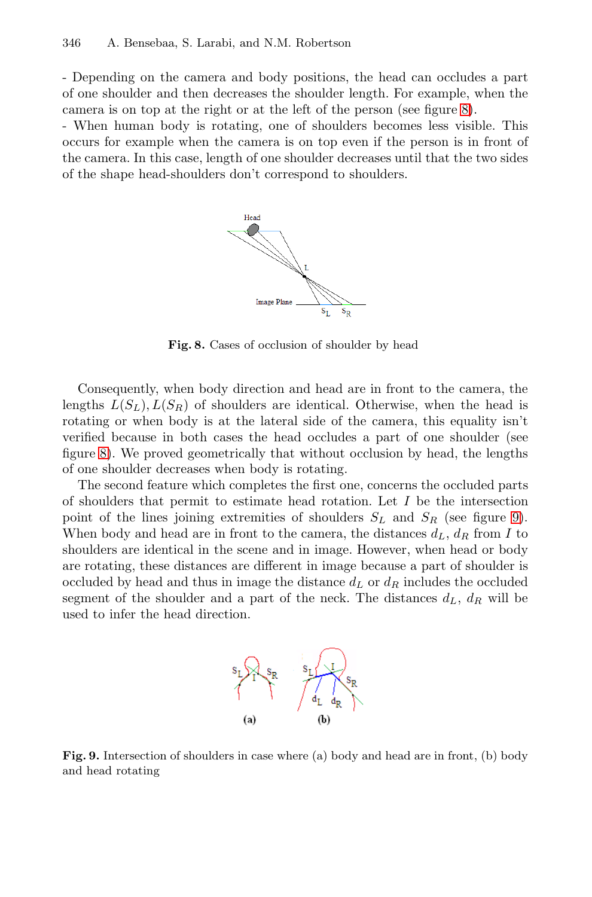#### 346 A. Bensebaa, S. Larabi, and N.M. Robertson

- Depending on the camera and body positions, the head can occludes a part of one shoulder and then decreases the shoulder length. For example, when the camera is on top at the right or at the left of the person (see figure 8).

- When human body is rotating, one of shoulders becomes less visible. This occurs for example when the camera is on top even if the person is in front of the camera. In this case, length of one shoulder decreases until that the two sides of the shape head-shoulders don't correspond to shoulders.



**Fig. 8.** Cases of occlusion of shoulder by head

Consequently, when body direction and head are in fro[nt](#page-6-0) to the camera, the lengths  $L(S_L)$ ,  $L(S_R)$  of shoulders are identical. Otherwise, when the head is rotating or when body is at the lateral side of the camera, this equality isn't verified because in both cases the head occludes a part of one shoulder (see figure 8). We proved geometrically that without occlusion by head, the lengths of one shoulder decreases when body is rotating.

<span id="page-6-0"></span>The second feature which completes the first one, concerns the occluded parts of shoulders that permit to estimate head rotation. Let  $I$  be the intersection point of the lines joining extremities of shoulders S*<sup>L</sup>* and S*<sup>R</sup>* (see figure 9). When body and head are in front to the camera, the distances  $d_L$ ,  $d_R$  from I to shoulders are identical in the scene and in image. However, when head or body are rotating, these distances are different in image because a part of shoulder is occluded by head and thus in image the distance  $d<sub>L</sub>$  or  $d<sub>R</sub>$  includes the occluded segment of the shoulder and a part of the neck. The distances  $d_L$ ,  $d_R$  will be used to infer the head direction.



**Fig. 9.** Intersection of shoulders in case where (a) body and head are in front, (b) body and head rotating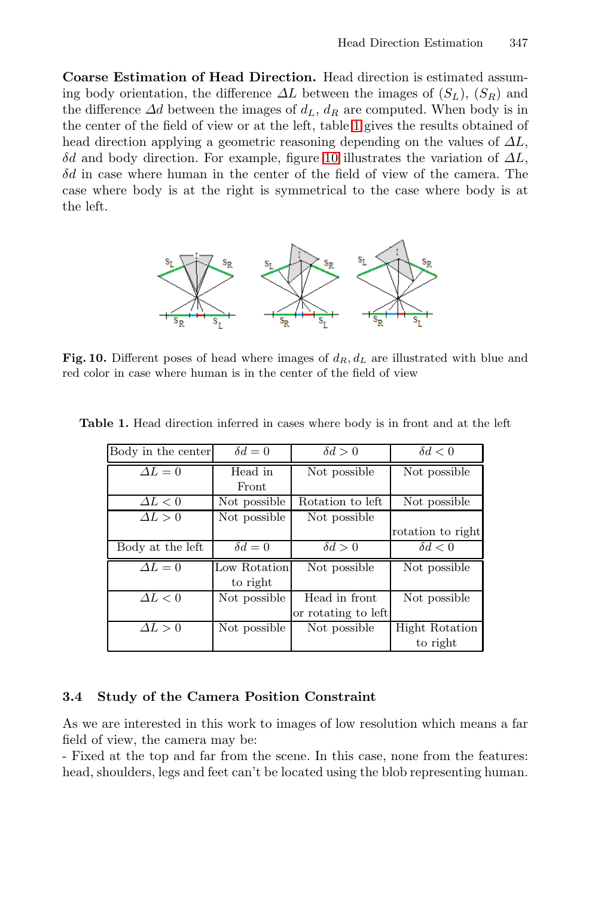**Coarse Estimation of Head Direction.** Head direction is estimated assuming body orientation, the difference  $\Delta L$  between the images of  $(S_L)$ ,  $(S_R)$  and the difference  $\Delta d$  between the images of  $d_L$ ,  $d_R$  are computed. When body is in the center of the field of view or at the left, table 1 gives the results obtained of head direction applying a geometric reasoning depending on the values of  $\Delta L$ , δd and body direction. For example, figure 10 illustrates the variation of ΔL,  $\delta d$  in case where human in the center of the field of view of the camera. The case where body is at the right is symmetrical to the case where body is at the left.



**Fig. 10.** Different poses of head where images of d*R*, d*<sup>L</sup>* are illustrated with blue and red color in case where human is in the center of the field of view

| Body in the center | $\delta d = 0$ | $\delta d > 0$      | $\delta d < 0$        |
|--------------------|----------------|---------------------|-----------------------|
| $\Delta L = 0$     | Head in        | Not possible        | Not possible          |
|                    | Front          |                     |                       |
| $\varDelta L < 0$  | Not possible   | Rotation to left    | Not possible          |
| $\Delta L > 0$     | Not possible   | Not possible        |                       |
|                    |                |                     | rotation to right     |
| Body at the left   | $\delta d = 0$ | $\delta d > 0$      | $\delta d < 0$        |
| $\Delta L = 0$     | Low Rotation   | Not possible        | Not possible          |
|                    | to right       |                     |                       |
| $\Delta L < 0$     | Not possible   | Head in front       | Not possible          |
|                    |                | or rotating to left |                       |
| $\Delta L > 0$     | Not possible   | Not possible        | <b>Hight Rotation</b> |
|                    |                |                     | to right              |

**Table 1.** Head direction inferred in cases where body is in front and at the left

### **3.4 Study of the Camera Position Constraint**

As we are interested in this work to images of low resolution which means a far field of view, the camera may be:

- Fixed at the top and far from the scene. In this case, none from the features: head, shoulders, legs and feet can't be located using the blob representing human.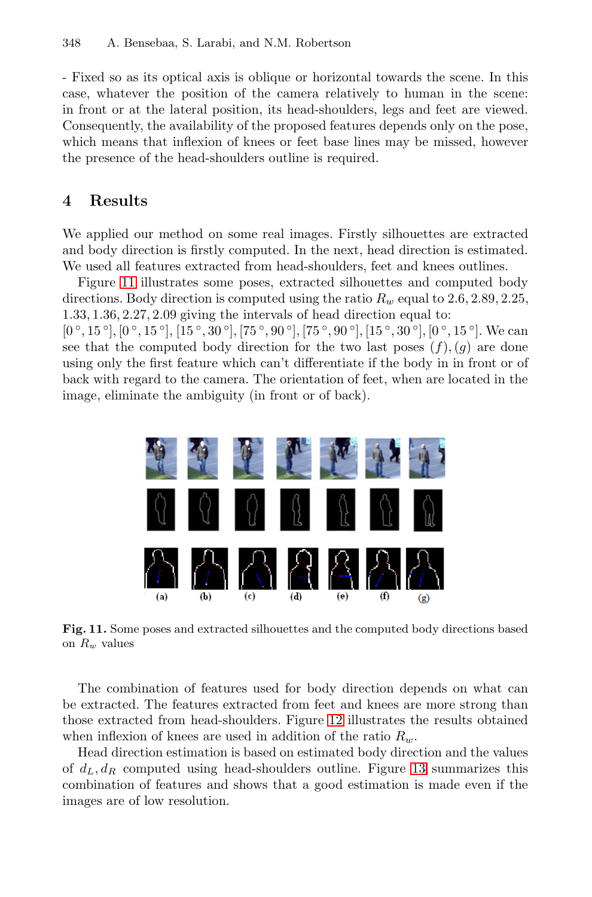#### 348 A. Bensebaa, S. Larabi, and N.M. Robertson

- Fixed so as its optical axis is oblique or horizontal towards the scene. In this case, whatever the position of the camera relatively to human in the scene: in front or at the lateral position, its head-shoulders, legs and feet are viewed. Consequently, the availability of the proposed features depends only on the pose, which means that inflexion of knees or feet base lines may be missed, however the presence of the head-shoulders outline is required.

### **4 Results**

We applied our method on some real images. Firstly silhouettes are extracted and body direction is firstly computed. In the next, head direction is estimated. We used all features extracted from head-shoulders, feet and knees outlines.

Figure 11 illustrates some poses, extracted silhouettes and computed body directions. Body direction is computed using the ratio R*<sup>w</sup>* equal to 2.6, 2.89, 2.25, 1.33, 1.36, 2.27, 2.09 giving the intervals of head direction equal to:

[0 ◦, 15 ◦], [0 ◦, 15 ◦], [15 ◦, 30 ◦], [75 ◦, 90 ◦], [75 ◦, 90 ◦], [15 ◦, 30 ◦], [0 ◦, 15 ◦]. We can see that the computed body direction for the two last poses  $(f)$ ,  $(g)$  are done using only the first feature which can't differentiate if the body in in front or of back with regard to the camera. The orientation of feet, when are located in the image, eliminate the ambiguity (in front or of back).



**Fig. 11.** Some poses and extracted silhouettes and the computed body directions based on R*<sup>w</sup>* values

The combination of features used for body direction depends on what can be extracted. The features extracted from feet and knees are more strong than those extracted from head-shoulders. Figure 12 illustrates the results obtained when inflexion of knees are used in addition of the ratio R*w*.

Head direction estimation is based on estimated body direction and the values of  $d_L, d_R$  computed using head-shoulders outline. Figure 13 summarizes this combination of features and shows that a good estimation is made even if the images are of low resolution.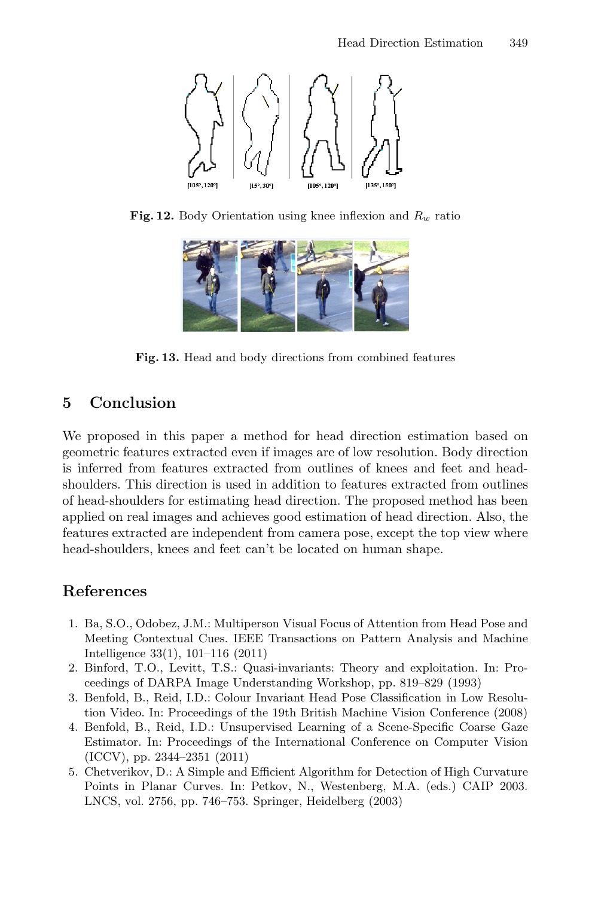

**Fig. 12.** Body Orientation using knee inflexion and R*<sup>w</sup>* ratio



**Fig. 13.** Head and body directions from combined features

# **5 Conclusion**

<span id="page-9-2"></span>We proposed in this paper a method for head direction estimation based on geometric features extracted even if images are of low resolution. Body direction is inferred from features extracted from outlines of knees and feet and headshoulders. This direction is used in addition to features extracted from outlines of head-shoulders for estimating head direction. The proposed method has been applied on real images and achieves good estimation of head direction. Also, the features extracted are independent from camera pose, except the top view where head-shoulders, knees and feet can't be located on human shape.

# <span id="page-9-0"></span>**References**

- <span id="page-9-1"></span>1. Ba, S.O., Odobez, J.M.: Multiperson Visual Focus of Attention from Head Pose and Meeting Contextual Cues. IEEE Transactions on Pattern Analysis and Machine Intelligence 33(1), 101–116 (2011)
- <span id="page-9-3"></span>2. Binford, T.O., Levitt, T.S.: Quasi-invariants: Theory and exploitation. In: Proceedings of DARPA Image Understanding Workshop, pp. 819–829 (1993)
- 3. Benfold, B., Reid, I.D.: Colour Invariant Head Pose Classification in Low Resolution Video. In: Proceedings of the 19th British Machine Vision Conference (2008)
- 4. Benfold, B., Reid, I.D.: Unsupervised Learning of a Scene-Specific Coarse Gaze Estimator. In: Proceedings of the International Conference on Computer Vision (ICCV), pp. 2344–2351 (2011)
- 5. Chetverikov, D.: A Simple and Efficient Algorithm for Detection of High Curvature Points in Planar Curves. In: Petkov, N., Westenberg, M.A. (eds.) CAIP 2003. LNCS, vol. 2756, pp. 746–753. Springer, Heidelberg (2003)